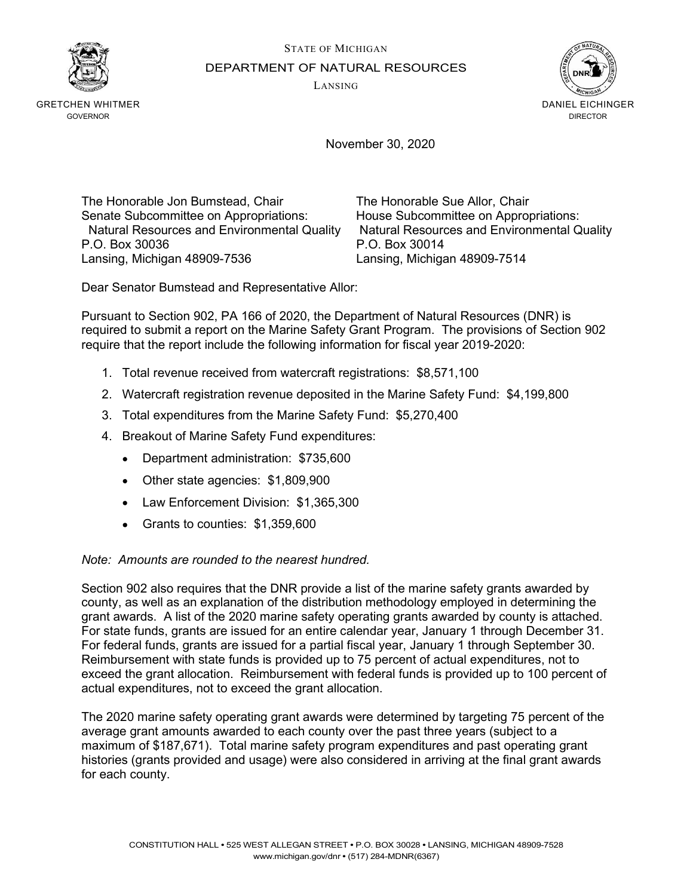STATE OF MICHIGAN



DEPARTMENT OF NATURAL RESOURCES

LANSING



GRETCHEN WHITMER **GOVERNOR** 

November 30, 2020

The Honorable Jon Bumstead, Chair The Honorable Sue Allor, Chair Senate Subcommittee on Appropriations: House Subcommittee on Appropriations: P.O. Box 30036 P.O. Box 30014 Lansing, Michigan 48909-7536 Lansing, Michigan 48909-7514

Natural Resources and Environmental Quality Natural Resources and Environmental Quality

Dear Senator Bumstead and Representative Allor:

Pursuant to Section 902, PA 166 of 2020, the Department of Natural Resources (DNR) is required to submit a report on the Marine Safety Grant Program. The provisions of Section 902 require that the report include the following information for fiscal year 2019-2020:

- 1. Total revenue received from watercraft registrations: \$8,571,100
- 2. Watercraft registration revenue deposited in the Marine Safety Fund: \$4,199,800
- 3. Total expenditures from the Marine Safety Fund: \$5,270,400
- 4. Breakout of Marine Safety Fund expenditures:
	- Department administration: \$735,600
	- Other state agencies: \$1,809,900
	- Law Enforcement Division: \$1,365,300
	- Grants to counties: \$1,359,600

## Note: Amounts are rounded to the nearest hundred.

Section 902 also requires that the DNR provide a list of the marine safety grants awarded by county, as well as an explanation of the distribution methodology employed in determining the grant awards. A list of the 2020 marine safety operating grants awarded by county is attached. For state funds, grants are issued for an entire calendar year, January 1 through December 31. For federal funds, grants are issued for a partial fiscal year, January 1 through September 30. Reimbursement with state funds is provided up to 75 percent of actual expenditures, not to exceed the grant allocation. Reimbursement with federal funds is provided up to 100 percent of actual expenditures, not to exceed the grant allocation.

The 2020 marine safety operating grant awards were determined by targeting 75 percent of the average grant amounts awarded to each county over the past three years (subject to a maximum of \$187,671). Total marine safety program expenditures and past operating grant histories (grants provided and usage) were also considered in arriving at the final grant awards for each county.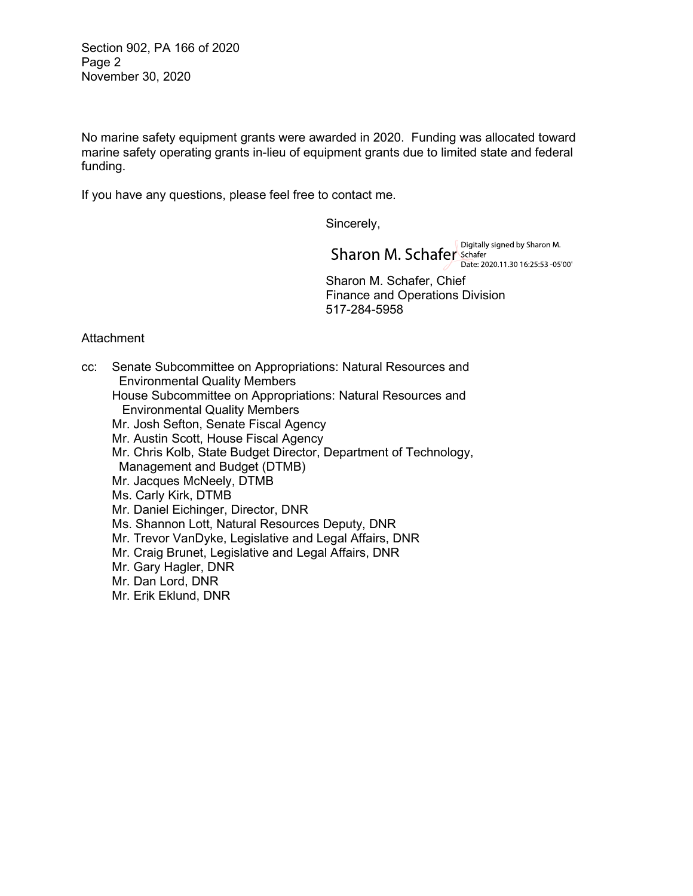Section 902, PA 166 of 2020 Page 2 November 30, 2020

No marine safety equipment grants were awarded in 2020. Funding was allocated toward marine safety operating grants in-lieu of equipment grants due to limited state and federal funding.

If you have any questions, please feel free to contact me.

Sincerely,

Digitally signed by Sharon M. Sharon M. Schafer Schafer Date: 2020.11.30 16:25:53 -05'00'

 Sharon M. Schafer, Chief Finance and Operations Division 517-284-5958

## **Attachment**

cc: Senate Subcommittee on Appropriations: Natural Resources and Environmental Quality Members House Subcommittee on Appropriations: Natural Resources and Environmental Quality Members Mr. Josh Sefton, Senate Fiscal Agency Mr. Austin Scott, House Fiscal Agency Mr. Chris Kolb, State Budget Director, Department of Technology, Management and Budget (DTMB) Mr. Jacques McNeely, DTMB Ms. Carly Kirk, DTMB Mr. Daniel Eichinger, Director, DNR Ms. Shannon Lott, Natural Resources Deputy, DNR Mr. Trevor VanDyke, Legislative and Legal Affairs, DNR Mr. Craig Brunet, Legislative and Legal Affairs, DNR Mr. Gary Hagler, DNR Mr. Dan Lord, DNR Mr. Erik Eklund, DNR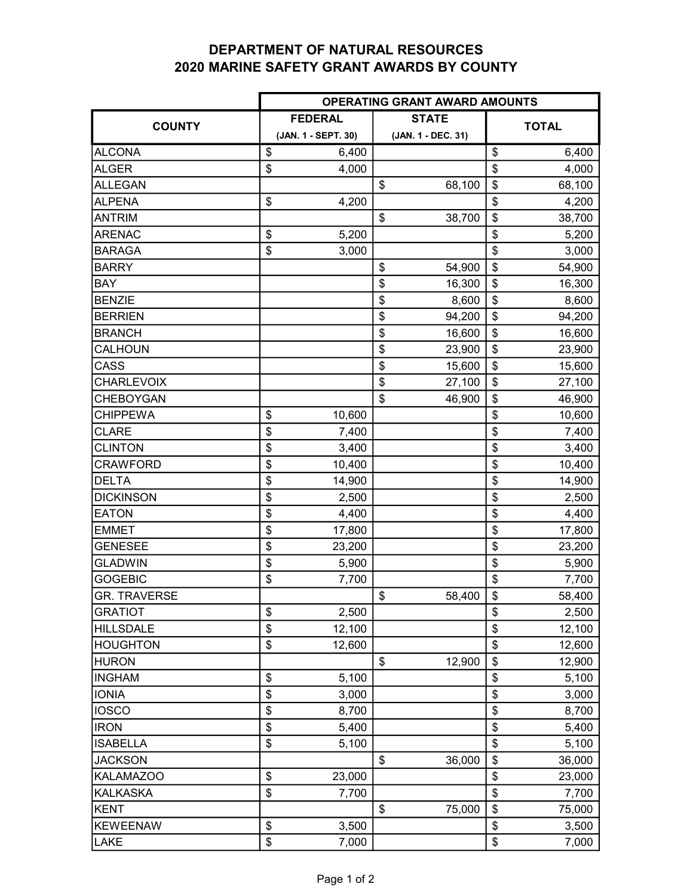## DEPARTMENT OF NATURAL RESOURCES 2020 MARINE SAFETY GRANT AWARDS BY COUNTY

|                     | OPERATING GRANT AWARD AMOUNTS |    |                    |              |        |  |  |  |
|---------------------|-------------------------------|----|--------------------|--------------|--------|--|--|--|
|                     | <b>FEDERAL</b>                |    | <b>STATE</b>       |              |        |  |  |  |
| <b>COUNTY</b>       | (JAN. 1 - SEPT. 30)           |    | (JAN. 1 - DEC. 31) | <b>TOTAL</b> |        |  |  |  |
| <b>ALCONA</b>       | \$<br>6,400                   |    |                    | \$           | 6,400  |  |  |  |
| <b>ALGER</b>        | \$<br>4,000                   |    |                    | \$           | 4,000  |  |  |  |
| <b>ALLEGAN</b>      |                               | \$ | 68,100             | \$           | 68,100 |  |  |  |
| <b>ALPENA</b>       | \$<br>4,200                   |    |                    | \$           | 4,200  |  |  |  |
| <b>ANTRIM</b>       |                               | \$ | 38,700             | \$           | 38,700 |  |  |  |
| <b>ARENAC</b>       | \$<br>5,200                   |    |                    | \$           | 5,200  |  |  |  |
| <b>BARAGA</b>       | \$<br>3,000                   |    |                    | \$           | 3,000  |  |  |  |
| <b>BARRY</b>        |                               | \$ | 54,900             | \$           | 54,900 |  |  |  |
| <b>BAY</b>          |                               | \$ | 16,300             | \$           | 16,300 |  |  |  |
| <b>BENZIE</b>       |                               | \$ | 8,600              | \$           | 8,600  |  |  |  |
| <b>BERRIEN</b>      |                               | \$ | 94,200             | \$           | 94,200 |  |  |  |
| <b>BRANCH</b>       |                               | \$ | 16,600             | \$           | 16,600 |  |  |  |
| CALHOUN             |                               | \$ | 23,900             | \$           | 23,900 |  |  |  |
| CASS                |                               | \$ | 15,600             | \$           | 15,600 |  |  |  |
| <b>CHARLEVOIX</b>   |                               | \$ | 27,100             | \$           | 27,100 |  |  |  |
| <b>CHEBOYGAN</b>    |                               | \$ | 46,900             | \$           | 46,900 |  |  |  |
| <b>CHIPPEWA</b>     | \$<br>10,600                  |    |                    | \$           | 10,600 |  |  |  |
| <b>CLARE</b>        | \$<br>7,400                   |    |                    | \$           | 7,400  |  |  |  |
| <b>CLINTON</b>      | \$<br>3,400                   |    |                    | \$           | 3,400  |  |  |  |
| <b>CRAWFORD</b>     | \$<br>10,400                  |    |                    | \$           | 10,400 |  |  |  |
| <b>DELTA</b>        | \$<br>14,900                  |    |                    | \$           | 14,900 |  |  |  |
| <b>DICKINSON</b>    | \$<br>2,500                   |    |                    | \$           | 2,500  |  |  |  |
| <b>EATON</b>        | \$<br>4,400                   |    |                    | \$           | 4,400  |  |  |  |
| <b>EMMET</b>        | \$<br>17,800                  |    |                    | \$           | 17,800 |  |  |  |
| <b>GENESEE</b>      | \$<br>23,200                  |    |                    | \$           | 23,200 |  |  |  |
| <b>GLADWIN</b>      | \$<br>5,900                   |    |                    | \$           | 5,900  |  |  |  |
| <b>GOGEBIC</b>      | \$<br>7,700                   |    |                    | \$           | 7,700  |  |  |  |
| <b>GR. TRAVERSE</b> |                               | \$ | 58,400             | \$           | 58,400 |  |  |  |
| <b>GRATIOT</b>      | \$<br>2,500                   |    |                    | \$           | 2,500  |  |  |  |
| <b>HILLSDALE</b>    | \$<br>12,100                  |    |                    | \$           | 12,100 |  |  |  |
| <b>HOUGHTON</b>     | \$<br>12,600                  |    |                    | \$           | 12,600 |  |  |  |
| <b>HURON</b>        |                               | \$ | 12,900             | \$           | 12,900 |  |  |  |
| <b>INGHAM</b>       | \$<br>5,100                   |    |                    | \$           | 5,100  |  |  |  |
| <b>IONIA</b>        | \$<br>3,000                   |    |                    | \$           | 3,000  |  |  |  |
| <b>IOSCO</b>        | \$<br>8,700                   |    |                    | \$           | 8,700  |  |  |  |
| <b>IRON</b>         | \$<br>5,400                   |    |                    | \$           | 5,400  |  |  |  |
| <b>ISABELLA</b>     | \$<br>5,100                   |    |                    | \$           | 5,100  |  |  |  |
| <b>JACKSON</b>      |                               | \$ | 36,000             | \$           | 36,000 |  |  |  |
| <b>KALAMAZOO</b>    | \$<br>23,000                  |    |                    | \$           | 23,000 |  |  |  |
| KALKASKA            | \$<br>7,700                   |    |                    | \$           | 7,700  |  |  |  |
| KENT                |                               | \$ | 75,000             | \$           | 75,000 |  |  |  |
| KEWEENAW            | \$<br>3,500                   |    |                    | \$           | 3,500  |  |  |  |
| <b>LAKE</b>         | \$<br>7,000                   |    |                    | \$           | 7,000  |  |  |  |